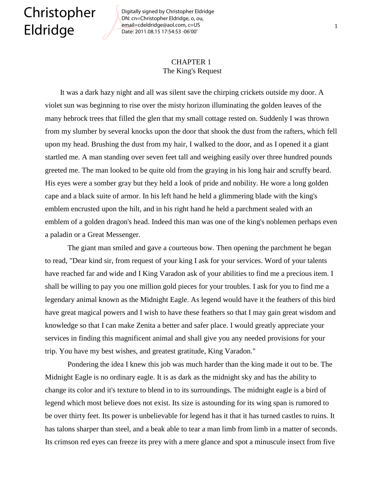## Christopher Eldridge

Digitally signed by Christopher Eldridge DN: cn=Christopher Eldridge, o, ou, email=cdeldridge@aol.com, c=US Date: 2011.08.15 17:54:53 -06'00'

## CHAPTER 1 The King's Request

 It was a dark hazy night and all was silent save the chirping crickets outside my door. A violet sun was beginning to rise over the misty horizon illuminating the golden leaves of the many hebrock trees that filled the glen that my small cottage rested on. Suddenly I was thrown from my slumber by several knocks upon the door that shook the dust from the rafters, which fell upon my head. Brushing the dust from my hair, I walked to the door, and as I opened it a giant startled me. A man standing over seven feet tall and weighing easily over three hundred pounds greeted me. The man looked to be quite old from the graying in his long hair and scruffy beard. His eyes were a somber gray but they held a look of pride and nobility. He wore a long golden cape and a black suite of armor. In his left hand he held a glimmering blade with the king's emblem encrusted upon the hilt, and in his right hand he held a parchment sealed with an emblem of a golden dragon's head. Indeed this man was one of the king's noblemen perhaps even a paladin or a Great Messenger.

The giant man smiled and gave a courteous bow. Then opening the parchment he began to read, "Dear kind sir, from request of your king I ask for your services. Word of your talents have reached far and wide and I King Varadon ask of your abilities to find me a precious item. I shall be willing to pay you one million gold pieces for your troubles. I ask for you to find me a legendary animal known as the Midnight Eagle. As legend would have it the feathers of this bird have great magical powers and I wish to have these feathers so that I may gain great wisdom and knowledge so that I can make Zenita a better and safer place. I would greatly appreciate your services in finding this magnificent animal and shall give you any needed provisions for your trip. You have my best wishes, and greatest gratitude, King Varadon."

Pondering the idea I knew this job was much harder than the king made it out to be. The Midnight Eagle is no ordinary eagle. It is as dark as the midnight sky and has the ability to change its color and it's texture to blend in to its surroundings. The midnight eagle is a bird of legend which most believe does not exist. Its size is astounding for its wing span is rumored to be over thirty feet. Its power is unbelievable for legend has it that it has turned castles to ruins. It has talons sharper than steel, and a beak able to tear a man limb from limb in a matter of seconds. Its crimson red eyes can freeze its prey with a mere glance and spot a minuscule insect from five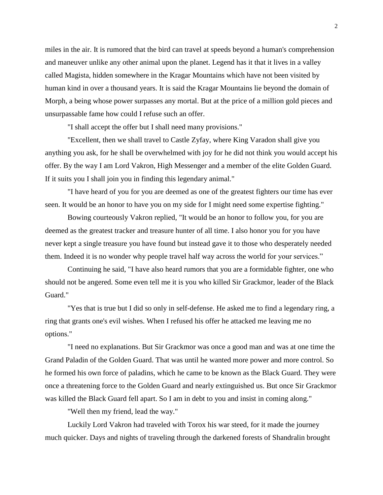miles in the air. It is rumored that the bird can travel at speeds beyond a human's comprehension and maneuver unlike any other animal upon the planet. Legend has it that it lives in a valley called Magista, hidden somewhere in the Kragar Mountains which have not been visited by human kind in over a thousand years. It is said the Kragar Mountains lie beyond the domain of Morph, a being whose power surpasses any mortal. But at the price of a million gold pieces and unsurpassable fame how could I refuse such an offer.

"I shall accept the offer but I shall need many provisions."

"Excellent, then we shall travel to Castle Zyfay, where King Varadon shall give you anything you ask, for he shall be overwhelmed with joy for he did not think you would accept his offer. By the way I am Lord Vakron, High Messenger and a member of the elite Golden Guard. If it suits you I shall join you in finding this legendary animal."

"I have heard of you for you are deemed as one of the greatest fighters our time has ever seen. It would be an honor to have you on my side for I might need some expertise fighting."

Bowing courteously Vakron replied, "It would be an honor to follow you, for you are deemed as the greatest tracker and treasure hunter of all time. I also honor you for you have never kept a single treasure you have found but instead gave it to those who desperately needed them. Indeed it is no wonder why people travel half way across the world for your services."

Continuing he said, "I have also heard rumors that you are a formidable fighter, one who should not be angered. Some even tell me it is you who killed Sir Grackmor, leader of the Black Guard."

"Yes that is true but I did so only in self-defense. He asked me to find a legendary ring, a ring that grants one's evil wishes. When I refused his offer he attacked me leaving me no options."

"I need no explanations. But Sir Grackmor was once a good man and was at one time the Grand Paladin of the Golden Guard. That was until he wanted more power and more control. So he formed his own force of paladins, which he came to be known as the Black Guard. They were once a threatening force to the Golden Guard and nearly extinguished us. But once Sir Grackmor was killed the Black Guard fell apart. So I am in debt to you and insist in coming along."

"Well then my friend, lead the way."

Luckily Lord Vakron had traveled with Torox his war steed, for it made the journey much quicker. Days and nights of traveling through the darkened forests of Shandralin brought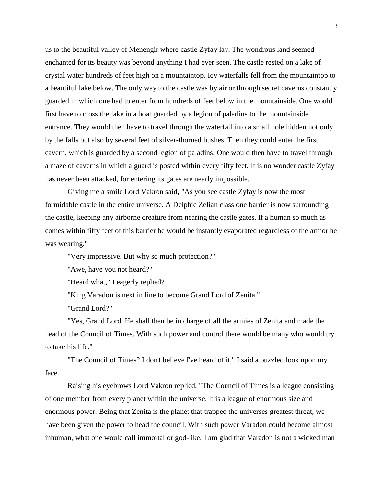us to the beautiful valley of Menengir where castle Zyfay lay. The wondrous land seemed enchanted for its beauty was beyond anything I had ever seen. The castle rested on a lake of crystal water hundreds of feet high on a mountaintop. Icy waterfalls fell from the mountaintop to a beautiful lake below. The only way to the castle was by air or through secret caverns constantly guarded in which one had to enter from hundreds of feet below in the mountainside. One would first have to cross the lake in a boat guarded by a legion of paladins to the mountainside entrance. They would then have to travel through the waterfall into a small hole hidden not only by the falls but also by several feet of silver-thorned bushes. Then they could enter the first cavern, which is guarded by a second legion of paladins. One would then have to travel through a maze of caverns in which a guard is posted within every fifty feet. It is no wonder castle Zyfay has never been attacked, for entering its gates are nearly impossible.

Giving me a smile Lord Vakron said, "As you see castle Zyfay is now the most formidable castle in the entire universe. A Delphic Zelian class one barrier is now surrounding the castle, keeping any airborne creature from nearing the castle gates. If a human so much as comes within fifty feet of this barrier he would be instantly evaporated regardless of the armor he was wearing."

"Very impressive. But why so much protection?"

"Awe, have you not heard?"

"Heard what," I eagerly replied?

"King Varadon is next in line to become Grand Lord of Zenita."

"Grand Lord?"

"Yes, Grand Lord. He shall then be in charge of all the armies of Zenita and made the head of the Council of Times. With such power and control there would be many who would try to take his life."

"The Council of Times? I don't believe I've heard of it," I said a puzzled look upon my face.

Raising his eyebrows Lord Vakron replied, "The Council of Times is a league consisting of one member from every planet within the universe. It is a league of enormous size and enormous power. Being that Zenita is the planet that trapped the universes greatest threat, we have been given the power to head the council. With such power Varadon could become almost inhuman, what one would call immortal or god-like. I am glad that Varadon is not a wicked man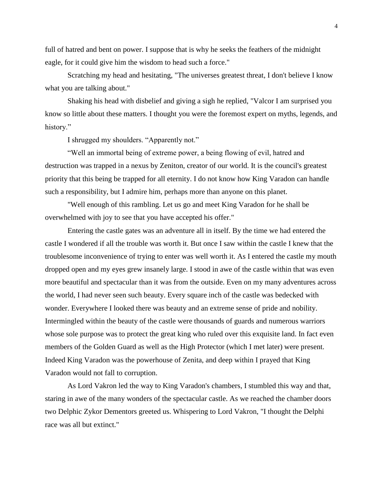full of hatred and bent on power. I suppose that is why he seeks the feathers of the midnight eagle, for it could give him the wisdom to head such a force."

Scratching my head and hesitating, "The universes greatest threat, I don't believe I know what you are talking about."

Shaking his head with disbelief and giving a sigh he replied, "Valcor I am surprised you know so little about these matters. I thought you were the foremost expert on myths, legends, and history."

I shrugged my shoulders. "Apparently not."

"Well an immortal being of extreme power, a being flowing of evil, hatred and destruction was trapped in a nexus by Zeniton, creator of our world. It is the council's greatest priority that this being be trapped for all eternity. I do not know how King Varadon can handle such a responsibility, but I admire him, perhaps more than anyone on this planet.

"Well enough of this rambling. Let us go and meet King Varadon for he shall be overwhelmed with joy to see that you have accepted his offer."

Entering the castle gates was an adventure all in itself. By the time we had entered the castle I wondered if all the trouble was worth it. But once I saw within the castle I knew that the troublesome inconvenience of trying to enter was well worth it. As I entered the castle my mouth dropped open and my eyes grew insanely large. I stood in awe of the castle within that was even more beautiful and spectacular than it was from the outside. Even on my many adventures across the world, I had never seen such beauty. Every square inch of the castle was bedecked with wonder. Everywhere I looked there was beauty and an extreme sense of pride and nobility. Intermingled within the beauty of the castle were thousands of guards and numerous warriors whose sole purpose was to protect the great king who ruled over this exquisite land. In fact even members of the Golden Guard as well as the High Protector (which I met later) were present. Indeed King Varadon was the powerhouse of Zenita, and deep within I prayed that King Varadon would not fall to corruption.

As Lord Vakron led the way to King Varadon's chambers, I stumbled this way and that, staring in awe of the many wonders of the spectacular castle. As we reached the chamber doors two Delphic Zykor Dementors greeted us. Whispering to Lord Vakron, "I thought the Delphi race was all but extinct."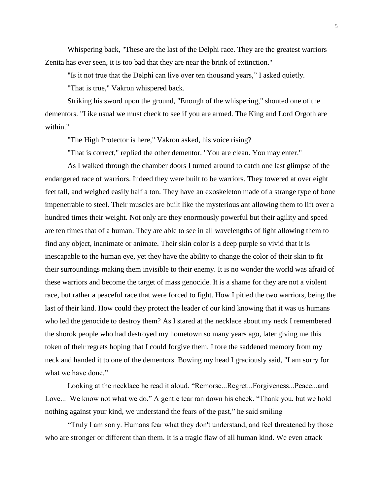Whispering back, "These are the last of the Delphi race. They are the greatest warriors Zenita has ever seen, it is too bad that they are near the brink of extinction."

"Is it not true that the Delphi can live over ten thousand years," I asked quietly.

"That is true," Vakron whispered back.

Striking his sword upon the ground, "Enough of the whispering," shouted one of the dementors. "Like usual we must check to see if you are armed. The King and Lord Orgoth are within."

"The High Protector is here," Vakron asked, his voice rising?

"That is correct," replied the other dementor. "You are clean. You may enter."

As I walked through the chamber doors I turned around to catch one last glimpse of the endangered race of warriors. Indeed they were built to be warriors. They towered at over eight feet tall, and weighed easily half a ton. They have an exoskeleton made of a strange type of bone impenetrable to steel. Their muscles are built like the mysterious ant allowing them to lift over a hundred times their weight. Not only are they enormously powerful but their agility and speed are ten times that of a human. They are able to see in all wavelengths of light allowing them to find any object, inanimate or animate. Their skin color is a deep purple so vivid that it is inescapable to the human eye, yet they have the ability to change the color of their skin to fit their surroundings making them invisible to their enemy. It is no wonder the world was afraid of these warriors and become the target of mass genocide. It is a shame for they are not a violent race, but rather a peaceful race that were forced to fight. How I pitied the two warriors, being the last of their kind. How could they protect the leader of our kind knowing that it was us humans who led the genocide to destroy them? As I stared at the necklace about my neck I remembered the shorok people who had destroyed my hometown so many years ago, later giving me this token of their regrets hoping that I could forgive them. I tore the saddened memory from my neck and handed it to one of the dementors. Bowing my head I graciously said, "I am sorry for what we have done."

Looking at the necklace he read it aloud. "Remorse...Regret...Forgiveness...Peace...and Love... We know not what we do." A gentle tear ran down his cheek. "Thank you, but we hold nothing against your kind, we understand the fears of the past," he said smiling

"Truly I am sorry. Humans fear what they don't understand, and feel threatened by those who are stronger or different than them. It is a tragic flaw of all human kind. We even attack